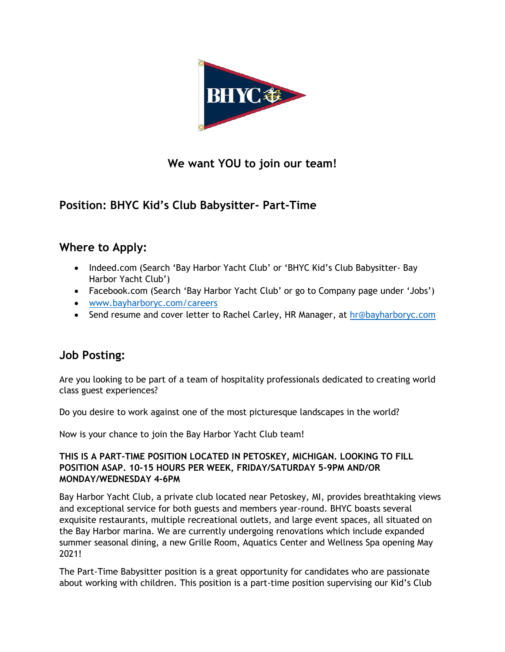

### **We want YOU to join our team!**

# **Position: BHYC Kid's Club Babysitter- Part-Time**

# **Where to Apply:**

- Indeed.com (Search 'Bay Harbor Yacht Club' or 'BHYC Kid's Club Babysitter- Bay Harbor Yacht Club')
- Facebook.com (Search 'Bay Harbor Yacht Club' or go to Company page under 'Jobs')
- [www.bayharboryc.com/careers](http://www.bayharboryc.com/careers)
- Send resume and cover letter to Rachel Carley, HR Manager, at [hr@bayharboryc.com](mailto:hr@bayharboryc.com)

#### **Job Posting:**

Are you looking to be part of a team of hospitality professionals dedicated to creating world class guest experiences?

Do you desire to work against one of the most picturesque landscapes in the world?

Now is your chance to join the Bay Harbor Yacht Club team!

#### **THIS IS A PART-TIME POSITION LOCATED IN PETOSKEY, MICHIGAN. LOOKING TO FILL POSITION ASAP. 10-15 HOURS PER WEEK, FRIDAY/SATURDAY 5-9PM AND/OR MONDAY/WEDNESDAY 4-6PM**

Bay Harbor Yacht Club, a private club located near Petoskey, MI, provides breathtaking views and exceptional service for both guests and members year-round. BHYC boasts several exquisite restaurants, multiple recreational outlets, and large event spaces, all situated on the Bay Harbor marina. We are currently undergoing renovations which include expanded summer seasonal dining, a new Grille Room, Aquatics Center and Wellness Spa opening May 2021!

The Part-Time Babysitter position is a great opportunity for candidates who are passionate about working with children. This position is a part-time position supervising our Kid's Club